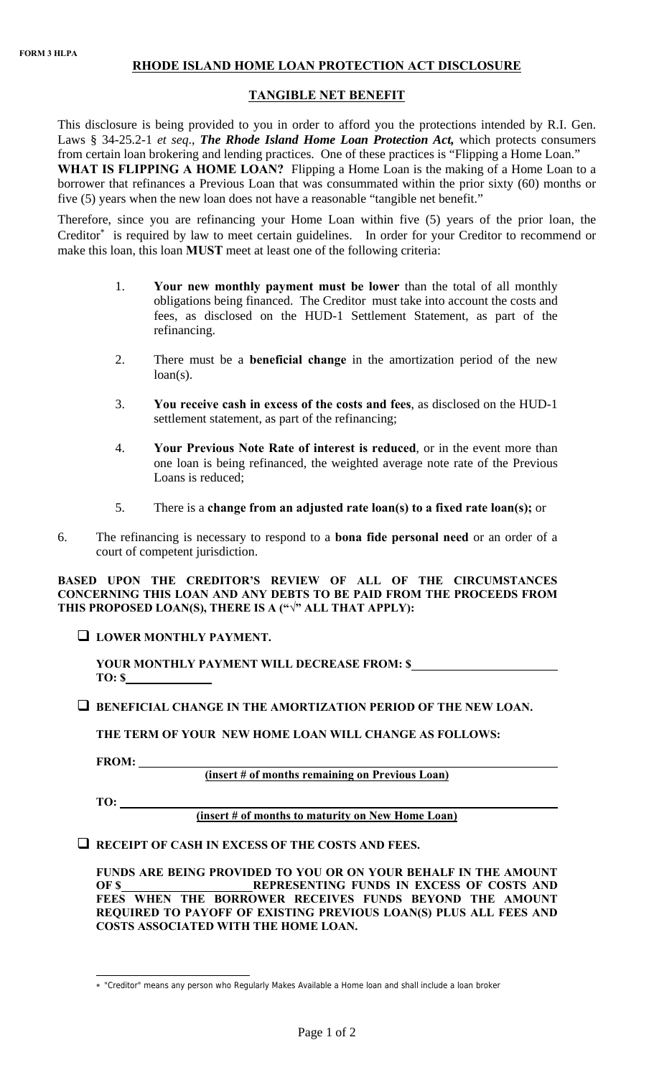# **RHODE ISLAND HOME LOAN PROTECTION ACT DISCLOSURE**

## **TANGIBLE NET BENEFIT**

This disclosure is being provided to you in order to afford you the protections intended by R.I. Gen. Laws § 34-25.2-1 *et seq*., *The Rhode Island Home Loan Protection Act,* which protects consumers from certain loan brokering and lending practices. One of these practices is "Flipping a Home Loan." WHAT IS FLIPPING A HOME LOAN? Flipping a Home Loan is the making of a Home Loan to a borrower that refinances a Previous Loan that was consummated within the prior sixty (60) months or five (5) years when the new loan does not have a reasonable "tangible net benefit."

Therefore, since you are refinancing your Home Loan within five (5) years of the prior loan, the Creditor<sup>∗</sup> is required by law to meet certain guidelines. In order for your Creditor to recommend or make this loan, this loan **MUST** meet at least one of the following criteria:

- 1. **Your new monthly payment must be lower** than the total of all monthly obligations being financed. The Creditor must take into account the costs and fees, as disclosed on the HUD-1 Settlement Statement, as part of the refinancing.
- 2. There must be a **beneficial change** in the amortization period of the new  $loan(s)$ .
- 3. **You receive cash in excess of the costs and fees**, as disclosed on the HUD-1 settlement statement, as part of the refinancing;
- 4. **Your Previous Note Rate of interest is reduced**, or in the event more than one loan is being refinanced, the weighted average note rate of the Previous Loans is reduced;
- 5. There is a **change from an adjusted rate loan(s) to a fixed rate loan(s);** or
- 6. The refinancing is necessary to respond to a **bona fide personal need** or an order of a court of competent jurisdiction.

**BASED UPON THE CREDITOR'S REVIEW OF ALL OF THE CIRCUMSTANCES CONCERNING THIS LOAN AND ANY DEBTS TO BE PAID FROM THE PROCEEDS FROM THIS PROPOSED LOAN(S), THERE IS A ("√" ALL THAT APPLY):** 

**LOWER MONTHLY PAYMENT.** 

**YOUR MONTHLY PAYMENT WILL DECREASE FROM: \$ TO: \$** 

#### **BENEFICIAL CHANGE IN THE AMORTIZATION PERIOD OF THE NEW LOAN.**

**THE TERM OF YOUR NEW HOME LOAN WILL CHANGE AS FOLLOWS:**

**FROM:** 

**(insert # of months remaining on Previous Loan)**

**TO:** 

#### **(insert # of months to maturity on New Home Loan)**

**RECEIPT OF CASH IN EXCESS OF THE COSTS AND FEES.** 

**FUNDS ARE BEING PROVIDED TO YOU OR ON YOUR BEHALF IN THE AMOUNT OF \$ REPRESENTING FUNDS IN EXCESS OF COSTS AND FEES WHEN THE BORROWER RECEIVES FUNDS BEYOND THE AMOUNT REQUIRED TO PAYOFF OF EXISTING PREVIOUS LOAN(S) PLUS ALL FEES AND COSTS ASSOCIATED WITH THE HOME LOAN.** 

 $\overline{a}$ ∗ "Creditor" means any person who Regularly Makes Available a Home loan and shall include a loan broker